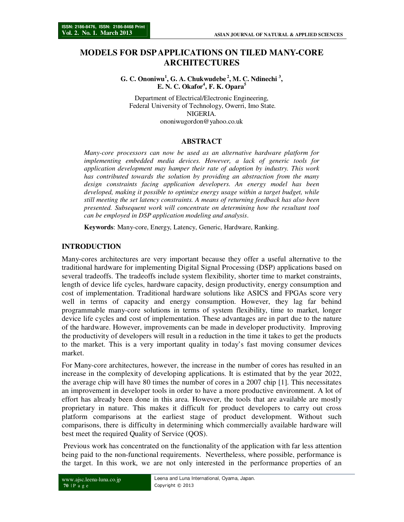# **MODELS FOR DSP APPLICATIONS ON TILED MANY-CORE ARCHITECTURES**

**G. C. Ononiwu<sup>1</sup> , G. A. Chukwudebe<sup>2</sup>, M. C. Ndinechi <sup>3</sup> , E. N. C. Okafor<sup>4</sup> , F. K. Opara<sup>5</sup>**

Department of Electrical/Electronic Engineering, Federal University of Technology, Owerri, Imo State. NIGERIA. ononiwugordon@yahoo.co.uk

### **ABSTRACT**

*Many-core processors can now be used as an alternative hardware platform for implementing embedded media devices. However, a lack of generic tools for application development may hamper their rate of adoption by industry. This work has contributed towards the solution by providing an abstraction from the many design constraints facing application developers. An energy model has been developed, making it possible to optimize energy usage within a target budget, while still meeting the set latency constraints. A means of returning feedback has also been presented. Subsequent work will concentrate on determining how the resultant tool can be employed in DSP application modeling and analysis*.

**Keywords**: Many-core, Energy, Latency, Generic, Hardware, Ranking.

## **INTRODUCTION**

Many-cores architectures are very important because they offer a useful alternative to the traditional hardware for implementing Digital Signal Processing (DSP) applications based on several tradeoffs. The tradeoffs include system flexibility, shorter time to market constraints, length of device life cycles, hardware capacity, design productivity, energy consumption and cost of implementation. Traditional hardware solutions like ASICS and FPGAs score very well in terms of capacity and energy consumption. However, they lag far behind programmable many-core solutions in terms of system flexibility, time to market, longer device life cycles and cost of implementation. These advantages are in part due to the nature of the hardware. However, improvements can be made in developer productivity. Improving the productivity of developers will result in a reduction in the time it takes to get the products to the market. This is a very important quality in today's fast moving consumer devices market.

For Many-core architectures, however, the increase in the number of cores has resulted in an increase in the complexity of developing applications. It is estimated that by the year 2022, the average chip will have 80 times the number of cores in a 2007 chip [1]. This necessitates an improvement in developer tools in order to have a more productive environment. A lot of effort has already been done in this area. However, the tools that are available are mostly proprietary in nature. This makes it difficult for product developers to carry out cross platform comparisons at the earliest stage of product development. Without such comparisons, there is difficulty in determining which commercially available hardware will best meet the required Quality of Service (QOS).

 Previous work has concentrated on the functionality of the application with far less attention being paid to the non-functional requirements. Nevertheless, where possible, performance is the target. In this work, we are not only interested in the performance properties of an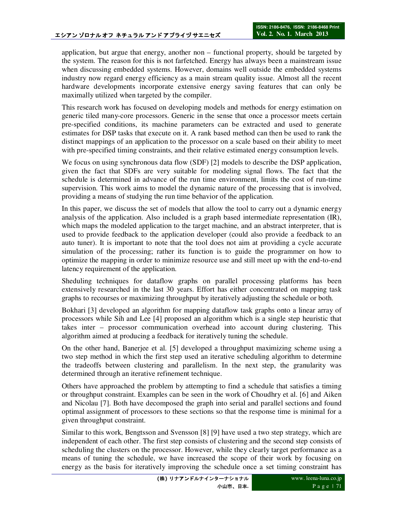application, but argue that energy, another non – functional property, should be targeted by the system. The reason for this is not farfetched. Energy has always been a mainstream issue when discussing embedded systems. However, domains well outside the embedded systems industry now regard energy efficiency as a main stream quality issue. Almost all the recent hardware developments incorporate extensive energy saving features that can only be maximally utilized when targeted by the compiler.

This research work has focused on developing models and methods for energy estimation on generic tiled many-core processors. Generic in the sense that once a processor meets certain pre-specified conditions, its machine parameters can be extracted and used to generate estimates for DSP tasks that execute on it. A rank based method can then be used to rank the distinct mappings of an application to the processor on a scale based on their ability to meet with pre-specified timing constraints, and their relative estimated energy consumption levels.

We focus on using synchronous data flow (SDF) [2] models to describe the DSP application, given the fact that SDFs are very suitable for modeling signal flows. The fact that the schedule is determined in advance of the run time environment, limits the cost of run-time supervision. This work aims to model the dynamic nature of the processing that is involved, providing a means of studying the run time behavior of the application.

In this paper, we discuss the set of models that allow the tool to carry out a dynamic energy analysis of the application. Also included is a graph based intermediate representation (IR), which maps the modeled application to the target machine, and an abstract interpreter, that is used to provide feedback to the application developer (could also provide a feedback to an auto tuner). It is important to note that the tool does not aim at providing a cycle accurate simulation of the processing; rather its function is to guide the programmer on how to optimize the mapping in order to minimize resource use and still meet up with the end-to-end latency requirement of the application.

Sheduling techniques for dataflow graphs on parallel processing platforms has been extensively researched in the last 30 years. Effort has either concentrated on mapping task graphs to recourses or maximizing throughput by iteratively adjusting the schedule or both.

Bokhari [3] developed an algorithm for mapping dataflow task graphs onto a linear array of processors while Sih and Lee [4] proposed an algorithm which is a single step heuristic that takes inter – processor communication overhead into account during clustering. This algorithm aimed at producing a feedback for iteratively tuning the schedule.

On the other hand, Banerjee et al. [5] developed a throughput maximizing scheme using a two step method in which the first step used an iterative scheduling algorithm to determine the tradeoffs between clustering and parallelism. In the next step, the granularity was determined through an iterative refinement technique.

Others have approached the problem by attempting to find a schedule that satisfies a timing or throughput constraint. Examples can be seen in the work of Choudhry et al. [6] and Aiken and Nicolau [7]. Both have decomposed the graph into serial and parallel sections and found optimal assignment of processors to these sections so that the response time is minimal for a given throughput constraint.

Similar to this work, Bengtsson and Svensson [8] [9] have used a two step strategy, which are independent of each other. The first step consists of clustering and the second step consists of scheduling the clusters on the processor. However, while they clearly target performance as a means of tuning the schedule, we have increased the scope of their work by focusing on energy as the basis for iteratively improving the schedule once a set timing constraint has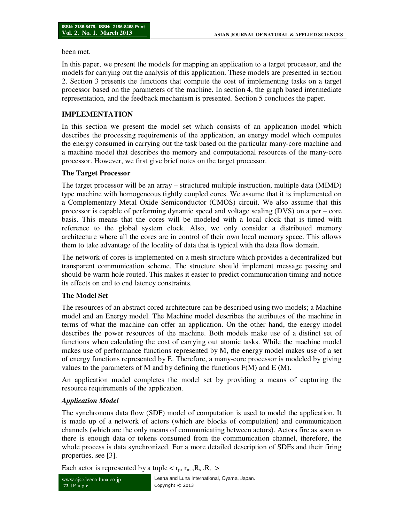been met.

In this paper, we present the models for mapping an application to a target processor, and the models for carrying out the analysis of this application. These models are presented in section 2. Section 3 presents the functions that compute the cost of implementing tasks on a target processor based on the parameters of the machine. In section 4, the graph based intermediate representation, and the feedback mechanism is presented. Section 5 concludes the paper.

## **IMPLEMENTATION**

In this section we present the model set which consists of an application model which describes the processing requirements of the application, an energy model which computes the energy consumed in carrying out the task based on the particular many-core machine and a machine model that describes the memory and computational resources of the many-core processor. However, we first give brief notes on the target processor.

#### **The Target Processor**

The target processor will be an array – structured multiple instruction, multiple data (MIMD) type machine with homogeneous tightly coupled cores. We assume that it is implemented on a Complementary Metal Oxide Semiconductor (CMOS) circuit. We also assume that this processor is capable of performing dynamic speed and voltage scaling (DVS) on a per – core basis. This means that the cores will be modeled with a local clock that is timed with reference to the global system clock. Also, we only consider a distributed memory architecture where all the cores are in control of their own local memory space. This allows them to take advantage of the locality of data that is typical with the data flow domain.

The network of cores is implemented on a mesh structure which provides a decentralized but transparent communication scheme. The structure should implement message passing and should be warm hole routed. This makes it easier to predict communication timing and notice its effects on end to end latency constraints.

### **The Model Set**

The resources of an abstract cored architecture can be described using two models; a Machine model and an Energy model. The Machine model describes the attributes of the machine in terms of what the machine can offer an application. On the other hand, the energy model describes the power resources of the machine. Both models make use of a distinct set of functions when calculating the cost of carrying out atomic tasks. While the machine model makes use of performance functions represented by M, the energy model makes use of a set of energy functions represented by E. Therefore, a many-core processor is modeled by giving values to the parameters of M and by defining the functions  $F(M)$  and  $E(M)$ .

An application model completes the model set by providing a means of capturing the resource requirements of the application.

### *Application Model*

The synchronous data flow (SDF) model of computation is used to model the application. It is made up of a network of actors (which are blocks of computation) and communication channels (which are the only means of communicating between actors). Actors fire as soon as there is enough data or tokens consumed from the communication channel, therefore, the whole process is data synchronized. For a more detailed description of SDFs and their firing properties, see [3].

Each actor is represented by a tuple  $\langle r_p, r_m, R_s, R_r \rangle$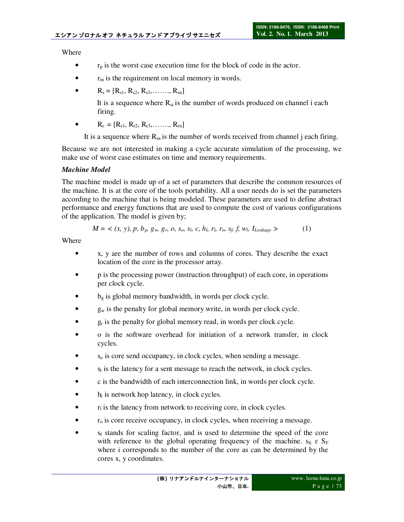Where

- $r_p$  is the worst case execution time for the block of code in the actor.
- $r_m$  is the requirement on local memory in words.
- $R_s = [R_{s1}, R_{s2}, R_{s3}, \ldots, R_{sn}]$

It is a sequence where  $R_{si}$  is the number of words produced on channel i each firing.

 $R_r = [R_{r1}, R_{r2}, R_{r3}, \ldots, R_{rn}]$ 

It is a sequence where  $R_m$  is the number of words received from channel j each firing.

Because we are not interested in making a cycle accurate simulation of the processing, we make use of worst case estimates on time and memory requirements.

## *Machine Model*

The machine model is made up of a set of parameters that describe the common resources of the machine. It is at the core of the tools portability. All a user needs do is set the parameters according to the machine that is being modeled. These parameters are used to define abstract performance and energy functions that are used to compute the cost of various configurations of the application. The model is given by;

$$
M = \langle (x, y), p, b_g, g_w, g_r, o, s_o, s_l, c, h_l, r_l, r_o, s_f, f, w_l, I_{Leakage} \rangle \tag{1}
$$

Where

- x, y are the number of rows and columns of cores. They describe the exact location of the core in the processor array.
- p is the processing power (instruction throughput) of each core, in operations per clock cycle.
- $b_g$  is global memory bandwidth, in words per clock cycle.
- $g_w$  is the penalty for global memory write, in words per clock cycle.
- g<sub>r</sub> is the penalty for global memory read, in words per clock cycle.
- o is the software overhead for initiation of a network transfer, in clock cycles.
- $s<sub>o</sub>$  is core send occupancy, in clock cycles, when sending a message.
- $\bullet$  s<sub>l</sub> is the latency for a sent message to reach the network, in clock cycles.
- c is the bandwidth of each interconnection link, in words per clock cycle.
- $\bullet$  h<sub>l</sub> is network hop latency, in clock cycles.
- $r_1$  is the latency from network to receiving core, in clock cycles.
- $r<sub>o</sub>$  is core receive occupancy, in clock cycles, when receiving a message.
- s<sub>f</sub> stands for scaling factor, and is used to determine the speed of the core with reference to the global operating frequency of the machine.  $s_{fi} \varepsilon S_F$ where i corresponds to the number of the core as can be determined by the cores x, y coordinates.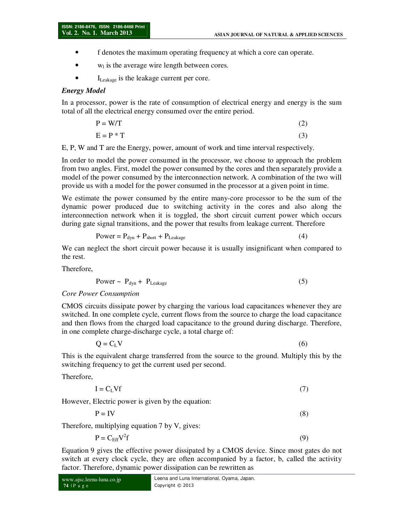- f denotes the maximum operating frequency at which a core can operate.
- $w<sub>l</sub>$  is the average wire length between cores.
- I<sub>Leakage</sub> is the leakage current per core.

#### *Energy Model*

In a processor, power is the rate of consumption of electrical energy and energy is the sum total of all the electrical energy consumed over the entire period.

$$
P = W/T
$$
 (2)

$$
E = P * T \tag{3}
$$

E, P, W and T are the Energy, power, amount of work and time interval respectively.

In order to model the power consumed in the processor, we choose to approach the problem from two angles. First, model the power consumed by the cores and then separately provide a model of the power consumed by the interconnection network. A combination of the two will provide us with a model for the power consumed in the processor at a given point in time.

We estimate the power consumed by the entire many-core processor to be the sum of the dynamic power produced due to switching activity in the cores and also along the interconnection network when it is toggled, the short circuit current power which occurs during gate signal transitions, and the power that results from leakage current. Therefore

$$
Power = P_{dyn} + P_{short} + P_{Leakage}
$$
 (4)

We can neglect the short circuit power because it is usually insignificant when compared to the rest.

Therefore,

$$
Power \sim P_{dyn} + P_{Leakage} \tag{5}
$$

*Core Power Consumption* 

CMOS circuits dissipate power by charging the various load capacitances whenever they are switched. In one complete cycle, current flows from the source to charge the load capacitance and then flows from the charged load capacitance to the ground during discharge. Therefore, in one complete charge-discharge cycle, a total charge of:

 $Q = C_L V$  (6)

This is the equivalent charge transferred from the source to the ground. Multiply this by the switching frequency to get the current used per second.

Therefore,

 $I = C<sub>L</sub> Vf$  (7)

However, Electric power is given by the equation:

$$
P = IV \tag{8}
$$

Therefore, multiplying equation 7 by V, gives:

$$
P = C_{\text{Eff}} V^2 f \tag{9}
$$

Equation 9 gives the effective power dissipated by a CMOS device. Since most gates do not switch at every clock cycle, they are often accompanied by a factor, b, called the activity factor. Therefore, dynamic power dissipation can be rewritten as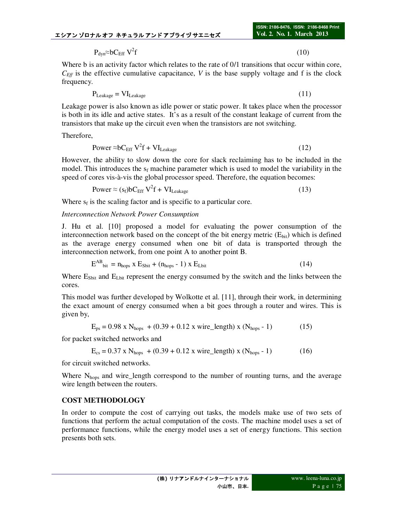$P_{dyn}$ ≈bC<sub>Eff</sub> V<sup>2</sup>f f  $(10)$ 

Where b is an activity factor which relates to the rate of 0/1 transitions that occur within core,  $C_{\text{Eff}}$  is the effective cumulative capacitance, *V* is the base supply voltage and f is the clock frequency.

$$
P_{Leakage} = VI_{Leakage}
$$
 (11)

Leakage power is also known as idle power or static power. It takes place when the processor is both in its idle and active states. It's as a result of the constant leakage of current from the transistors that make up the circuit even when the transistors are not switching.

Therefore,

$$
Power \approx bC_{Eff} V^2 f + VI_{Leakage}
$$
 (12)

However, the ability to slow down the core for slack reclaiming has to be included in the model. This introduces the  $s_f$  machine parameter which is used to model the variability in the speed of cores vis-à-vis the global processor speed. Therefore, the equation becomes:

$$
Power \approx (s_f) b C_{Eff} V^2 f + VI_{Leakage}
$$
 (13)

Where  $s_f$  is the scaling factor and is specific to a particular core.

#### *Interconnection Network Power Consumption*

J. Hu et al. [10] proposed a model for evaluating the power consumption of the interconnection network based on the concept of the bit energy metric  $(E_{\text{bit}})$  which is defined as the average energy consumed when one bit of data is transported through the interconnection network, from one point A to another point B.

$$
E^{AB}_{\text{bit}} = n_{\text{hops}} \times E_{\text{Sbit}} + (n_{\text{hops}} - 1) \times E_{\text{Lbit}} \tag{14}
$$

Where  $E_{Sbit}$  and  $E_{Lbit}$  represent the energy consumed by the switch and the links between the cores.

This model was further developed by Wolkotte et al. [11], through their work, in determining the exact amount of energy consumed when a bit goes through a router and wires. This is given by,

$$
E_{\text{ps}} = 0.98 \text{ x N}_{\text{hops}} + (0.39 + 0.12 \text{ x wire\_length}) \text{ x (N}_{\text{hops}} - 1)
$$
 (15)

for packet switched networks and

$$
E_{cs} = 0.37 \times N_{hops} + (0.39 + 0.12 \times wire\_length) \times (N_{hops} - 1)
$$
 (16)

for circuit switched networks.

Where N<sub>hops</sub> and wire\_length correspond to the number of rounting turns, and the average wire length between the routers.

### **COST METHODOLOGY**

In order to compute the cost of carrying out tasks, the models make use of two sets of functions that perform the actual computation of the costs. The machine model uses a set of performance functions, while the energy model uses a set of energy functions. This section presents both sets.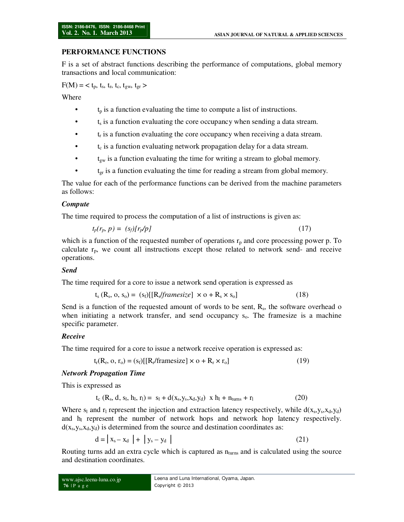### **PERFORMANCE FUNCTIONS**

F is a set of abstract functions describing the performance of computations, global memory transactions and local communication:

 $F(M) = < t_p, t_s, t_r, t_c, t_{gw}, t_{gr} >$ 

Where

- $t<sub>p</sub>$  is a function evaluating the time to compute a list of instructions.
- $\bullet$  t<sub>s</sub> is a function evaluating the core occupancy when sending a data stream.
- $\bullet$   $\bullet$   $\bullet$   $\bullet$  t<sub>r</sub> is a function evaluating the core occupancy when receiving a data stream.
- t<sub>c</sub> is a function evaluating network propagation delay for a data stream.
- $\bullet$  t<sub>gw</sub> is a function evaluating the time for writing a stream to global memory.
- $t_{gr}$  is a function evaluating the time for reading a stream from global memory.

The value for each of the performance functions can be derived from the machine parameters as follows:

### *Compute*

The time required to process the computation of a list of instructions is given as:

$$
t_p(r_p, p) = (s_f)[r_p/p] \tag{17}
$$

which is a function of the requested number of operations  $r<sub>p</sub>$  and core processing power p. To calculate  $r_p$ , we count all instructions except those related to network send- and receive operations.

### *Send*

The time required for a core to issue a network send operation is expressed as

$$
t_s(R_s, o, s_o) = (s_f)[[R_s \text{ \textit{framesize} } ] \times o + R_s \times s_o] \tag{18}
$$

Send is a function of the requested amount of words to be sent,  $R_s$ , the software overhead o when initiating a network transfer, and send occupancy  $s<sub>o</sub>$ . The framesize is a machine specific parameter.

### *Receive*

The time required for a core to issue a network receive operation is expressed as:

$$
t_r(R_r, o, r_o) = (s_f)[[R_r/framesize] \times o + R_r \times r_o]
$$
\n(19)

### *Network Propagation Time*

This is expressed as

$$
t_c (R_s, d, s_l, h_l, r_l) = s_l + d(x_s, y_s, x_d, y_d) \times h_l + n_{turns} + r_l \tag{20}
$$

Where  $s_1$  and  $r_1$  represent the injection and extraction latency respectively, while  $d(x_s, y_s, x_d, y_d)$ and  $h<sub>l</sub>$  represent the number of network hops and network hop latency respectively.  $d(x<sub>s</sub>,y<sub>s</sub>,x<sub>d</sub>,y<sub>d</sub>)$  is determined from the source and destination coordinates as:

$$
d = |x_s - x_d| + |y_s - y_d| \tag{21}
$$

Routing turns add an extra cycle which is captured as  $n_{\text{turns}}$  and is calculated using the source and destination coordinates.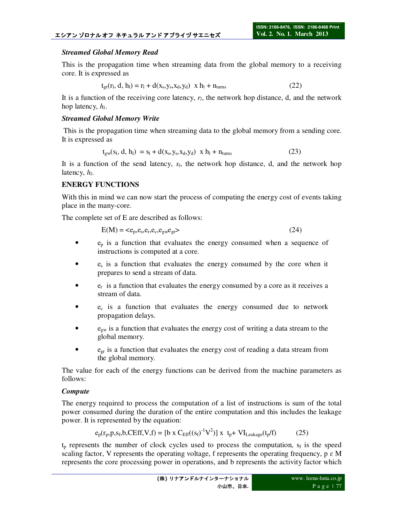### *Streamed Global Memory Read*

This is the propagation time when streaming data from the global memory to a receiving core. It is expressed as

$$
t_{gr}(r_1, d, h_1) = r_1 + d(x_s, y_s, x_d, y_d) \times h_1 + n_{turns}
$$
 (22)

It is a function of the receiving core latency, *rl*, the network hop distance, d, and the network hop latency, *h<sup>l</sup>* .

### *Streamed Global Memory Write*

 This is the propagation time when streaming data to the global memory from a sending core. It is expressed as

$$
t_{gw}(s_1, d, h_1) = s_1 + d(x_s, y_s, x_d, y_d) \times h_1 + n_{turns}
$$
 (23)

It is a function of the send latency,  $s_l$ , the network hop distance, d, and the network hop latency, *h<sup>l</sup>* .

## **ENERGY FUNCTIONS**

With this in mind we can now start the process of computing the energy cost of events taking place in the many-core.

The complete set of E are described as follows:

$$
E(M) = \langle e_p, e_s, e_r, e_c, e_{gw}e_{gr} \rangle
$$
 (24)

- $\bullet$  e<sub>p</sub> is a function that evaluates the energy consumed when a sequence of instructions is computed at a core.
- $e_s$  is a function that evaluates the energy consumed by the core when it prepares to send a stream of data.
- $e_r$  is a function that evaluates the energy consumed by a core as it receives a stream of data.
- $e_c$  is a function that evaluates the energy consumed due to network propagation delays.
- $e_{gw}$  is a function that evaluates the energy cost of writing a data stream to the global memory.
- $\bullet$  e<sub>gr</sub> is a function that evaluates the energy cost of reading a data stream from the global memory.

The value for each of the energy functions can be derived from the machine parameters as follows:

### *Compute*

The energy required to process the computation of a list of instructions is sum of the total power consumed during the duration of the entire computation and this includes the leakage power. It is represented by the equation:

$$
e_p(r_p, p, s_f, b, CEff, V, f) = [b \times C_{Eff}((s_f)^{-1} V^2)] \times t_p + VI_{Leakage}(t_p/f)
$$
 (25)

 $t_p$  represents the number of clock cycles used to process the computation,  $s_f$  is the speed scaling factor, V represents the operating voltage, f represents the operating frequency,  $p \in M$ represents the core processing power in operations, and b represents the activity factor which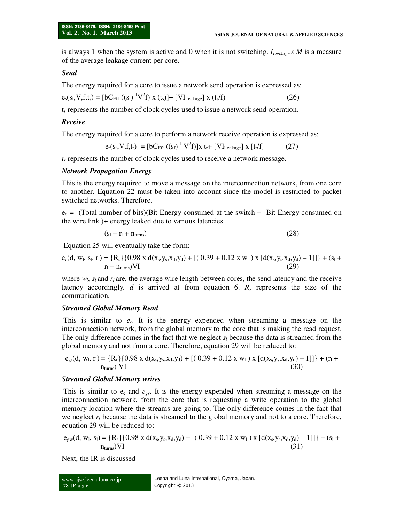is always 1 when the system is active and 0 when it is not switching. *ILeakage ɛ M* is a measure of the average leakage current per core.

#### *Send*

The energy required for a core to issue a network send operation is expressed as:

$$
e_s(s_f, V, f, t_s) = [bC_{Eff} ((s_f)^{-1} V^2 f) x (t_s)] + [VI_{Leakage}] x (t_s/f)
$$
 (26)

 $t<sub>s</sub>$  represents the number of clock cycles used to issue a network send operation.

#### *Receive*

The energy required for a core to perform a network receive operation is expressed as:

$$
e_r(s_f, V, f, t_r) = [bC_{Eff} ((s_f)^{-1} V^2 f)]x t_r + [VI_{Leakage}] x [t_r/f]
$$
 (27)

*tr* represents the number of clock cycles used to receive a network message.

#### *Network Propagation Energy*

This is the energy required to move a message on the interconnection network, from one core to another. Equation 22 must be taken into account since the model is restricted to packet switched networks. Therefore,

 $e_c$  = (Total number of bits)(Bit Energy consumed at the switch + Bit Energy consumed on the wire link )+ energy leaked due to various latencies

$$
(s1 + r1 + nturns)
$$
 (28)

Equation 25 will eventually take the form:

$$
e_c(d, w_l, s_l, r_l) = \{R_s\} \{0.98 \times d(x_s, y_s, x_d, y_d) + [(0.39 + 0.12 \times w_l) \times [d(x_s, y_s, x_d, y_d) - 1]]\} + (s_l + r_l + n_{turns})\n \tag{29}
$$

where  $w_l$ ,  $s_l$  and  $r_l$  are, the average wire length between cores, the send latency and the receive latency accordingly. *d* is arrived at from equation 6. *R<sup>s</sup>* represents the size of the communication.

#### *Streamed Global Memory Read*

 This is similar to *ec*. It is the energy expended when streaming a message on the interconnection network, from the global memory to the core that is making the read request. The only difference comes in the fact that we neglect  $s_l$  because the data is streamed from the global memory and not from a core. Therefore, equation 29 will be reduced to:

$$
e_{gr}(d, w_l, r_l) = \{R_r\} \{0.98 \times d(x_s, y_s, x_d, y_d) + [(0.39 + 0.12 \times w_l) \times [d(x_s, y_s, x_d, y_d) - 1]]\} + (r_l + n_{turns}) VI
$$
\n(30)

#### *Streamed Global Memory writes*

This is similar to  $e_c$  and  $e_{gr}$ . It is the energy expended when streaming a message on the interconnection network, from the core that is requesting a write operation to the global memory location where the streams are going to. The only difference comes in the fact that we neglect  $r_l$  because the data is streamed to the global memory and not to a core. Therefore, equation 29 will be reduced to:

$$
e_{gw}(d, w_l, s_l) = \{R_s\} \{0.98 \times d(x_s, y_s, x_d, y_d) + [(0.39 + 0.12 \times w_l) \times [d(x_s, y_s, x_d, y_d) - 1]]\} + (s_l + n_{turns})VI
$$
\n(31)

Next, the IR is discussed

```
www.ajsc.leena-luna.co.jp 
78 | P a g e
```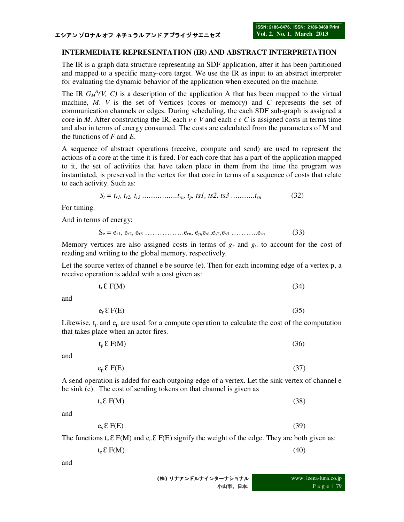### **INTERMEDIATE REPRESENTATION (IR) AND ABSTRACT INTERPRETATION**

The IR is a graph data structure representing an SDF application, after it has been partitioned and mapped to a specific many-core target. We use the IR as input to an abstract interpreter for evaluating the dynamic behavior of the application when executed on the machine.

The IR  $G_M^A(V, C)$  is a description of the application A that has been mapped to the virtual machine, *M*. *V* is the set of Vertices (cores or memory) and *C* represents the set of communication channels or edges. During scheduling, the each SDF sub-graph is assigned a core in *M*. After constructing the IR, each  $v \in V$  and each  $c \in C$  is assigned costs in terms time and also in terms of energy consumed. The costs are calculated from the parameters of M and the functions of *F* and *E*.

A sequence of abstract operations (receive, compute and send) are used to represent the actions of a core at the time it is fired. For each core that has a part of the application mapped to it, the set of activities that have taken place in them from the time the program was instantiated, is preserved in the vertex for that core in terms of a sequence of costs that relate to each activity. Such as:

$$
S_t = t_{r1}, t_{r2}, t_{r3} \dots \dots \dots \dots \dots t_m, t_p, \text{ts1, ts2, ts3} \dots \dots \dots \dots t_{sn}
$$
 (32)

For timing.

And in terms of energy:

$$
S_e = e_{r1}, e_{r2}, e_{r3} \dots \dots \dots \dots \dots e_{rn}, e_p, e_{s1}, e_{s2}, e_{s3} \dots \dots \dots \dots e_{sn}
$$
 (33)

Memory vertices are also assigned costs in terms of  $g_r$  and  $g_w$  to account for the cost of reading and writing to the global memory, respectively.

Let the source vertex of channel e be source  $(e)$ . Then for each incoming edge of a vertex p, a receive operation is added with a cost given as:

$$
t_r \, \mathcal{E} \, F(M) \tag{34}
$$

and

$$
e_r \, \mathcal{E} \, F(E) \tag{35}
$$

Likewise,  $t_p$  and  $e_p$  are used for a compute operation to calculate the cost of the computation that takes place when an actor fires.

$$
t_p \, \mathcal{E} \, F(M) \tag{36}
$$

and

$$
e_p \, \mathcal{E} \, F(E) \tag{37}
$$

A send operation is added for each outgoing edge of a vertex. Let the sink vertex of channel e be sink (e). The cost of sending tokens on that channel is given as

| $t_s \, \mathcal{E} \, F(M)$ | (38) |
|------------------------------|------|
|------------------------------|------|

and

$$
e_{s} \mathcal{E} F(E) \tag{39}
$$

The functions  $t_c \, \mathcal{E} F(M)$  and  $e_c \, \mathcal{E} F(E)$  signify the weight of the edge. They are both given as:

$$
t_c \, \mathcal{E} \, F(M) \tag{40}
$$

and

| (株) リナアンドルナインターナショナル |  |
|----------------------|--|
| 小山市、日本.              |  |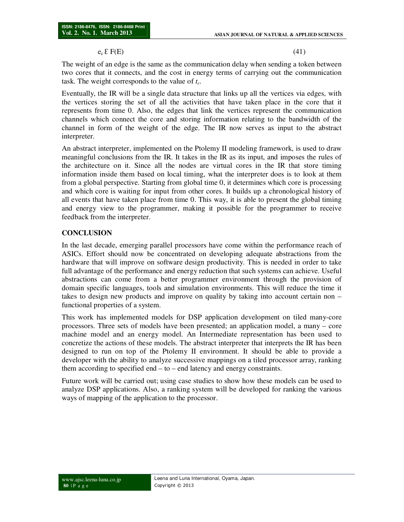#### $e_c \, \mathcal{E} \, F(E)$  (41)

The weight of an edge is the same as the communication delay when sending a token between two cores that it connects, and the cost in energy terms of carrying out the communication task. The weight corresponds to the value of *tc*.

Eventually, the IR will be a single data structure that links up all the vertices via edges, with the vertices storing the set of all the activities that have taken place in the core that it represents from time 0. Also, the edges that link the vertices represent the communication channels which connect the core and storing information relating to the bandwidth of the channel in form of the weight of the edge. The IR now serves as input to the abstract interpreter.

An abstract interpreter, implemented on the Ptolemy II modeling framework, is used to draw meaningful conclusions from the IR. It takes in the IR as its input, and imposes the rules of the architecture on it. Since all the nodes are virtual cores in the IR that store timing information inside them based on local timing, what the interpreter does is to look at them from a global perspective. Starting from global time 0, it determines which core is processing and which core is waiting for input from other cores. It builds up a chronological history of all events that have taken place from time 0. This way, it is able to present the global timing and energy view to the programmer, making it possible for the programmer to receive feedback from the interpreter.

#### **CONCLUSION**

In the last decade, emerging parallel processors have come within the performance reach of ASICs. Effort should now be concentrated on developing adequate abstractions from the hardware that will improve on software design productivity. This is needed in order to take full advantage of the performance and energy reduction that such systems can achieve. Useful abstractions can come from a better programmer environment through the provision of domain specific languages, tools and simulation environments. This will reduce the time it takes to design new products and improve on quality by taking into account certain non – functional properties of a system.

This work has implemented models for DSP application development on tiled many-core processors. Three sets of models have been presented; an application model, a many – core machine model and an energy model. An Intermediate representation has been used to concretize the actions of these models. The abstract interpreter that interprets the IR has been designed to run on top of the Ptolemy II environment. It should be able to provide a developer with the ability to analyze successive mappings on a tiled processor array, ranking them according to specified end – to – end latency and energy constraints.

Future work will be carried out; using case studies to show how these models can be used to analyze DSP applications. Also, a ranking system will be developed for ranking the various ways of mapping of the application to the processor.